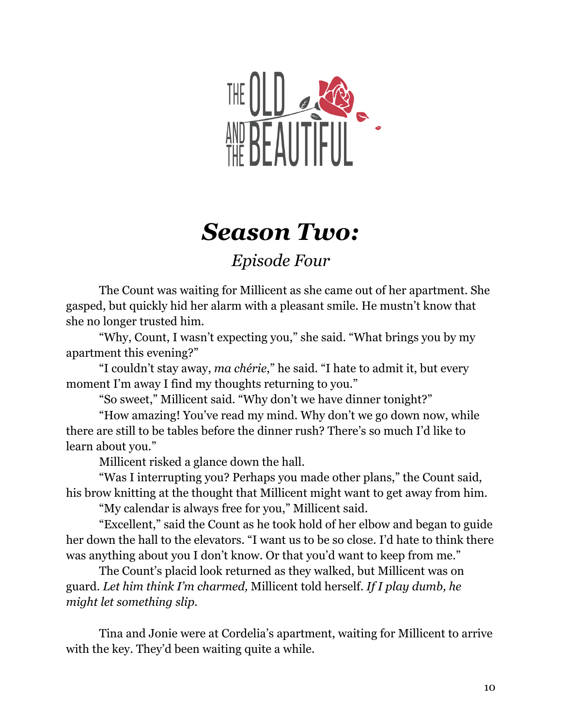

## *Season Two:*

*Episode Four*

The Count was waiting for Millicent as she came out of her apartment. She gasped, but quickly hid her alarm with a pleasant smile. He mustn't know that she no longer trusted him.

"Why, Count, I wasn't expecting you," she said. "What brings you by my apartment this evening?"

"I couldn't stay away, *ma chérie*," he said. "I hate to admit it, but every moment I'm away I find my thoughts returning to you."

"So sweet," Millicent said. "Why don't we have dinner tonight?"

"How amazing! You've read my mind. Why don't we go down now, while there are still to be tables before the dinner rush? There's so much I'd like to learn about you."

Millicent risked a glance down the hall.

"Was I interrupting you? Perhaps you made other plans," the Count said, his brow knitting at the thought that Millicent might want to get away from him.

"My calendar is always free for you," Millicent said.

"Excellent," said the Count as he took hold of her elbow and began to guide her down the hall to the elevators. "I want us to be so close. I'd hate to think there was anything about you I don't know. Or that you'd want to keep from me."

The Count's placid look returned as they walked, but Millicent was on guard. *Let him think I'm charmed,* Millicent told herself. *If I play dumb, he might let something slip.*

Tina and Jonie were at Cordelia's apartment, waiting for Millicent to arrive with the key. They'd been waiting quite a while.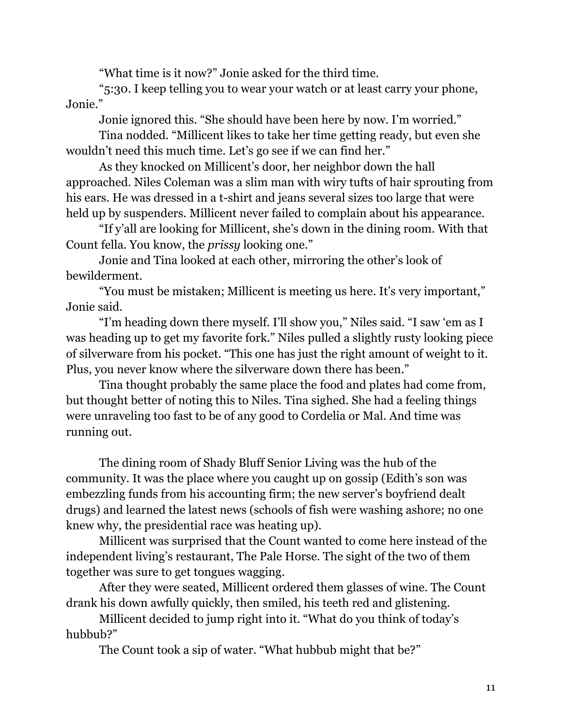"What time is it now?" Jonie asked for the third time.

"5:30. I keep telling you to wear your watch or at least carry your phone, Jonie."

Jonie ignored this. "She should have been here by now. I'm worried."

Tina nodded. "Millicent likes to take her time getting ready, but even she wouldn't need this much time. Let's go see if we can find her."

As they knocked on Millicent's door, her neighbor down the hall approached. Niles Coleman was a slim man with wiry tufts of hair sprouting from his ears. He was dressed in a t-shirt and jeans several sizes too large that were held up by suspenders. Millicent never failed to complain about his appearance.

"If y'all are looking for Millicent, she's down in the dining room. With that Count fella. You know, the *prissy* looking one."

Jonie and Tina looked at each other, mirroring the other's look of bewilderment.

"You must be mistaken; Millicent is meeting us here. It's very important," Jonie said.

"I'm heading down there myself. I'll show you," Niles said. "I saw 'em as I was heading up to get my favorite fork." Niles pulled a slightly rusty looking piece of silverware from his pocket. "This one has just the right amount of weight to it. Plus, you never know where the silverware down there has been."

Tina thought probably the same place the food and plates had come from, but thought better of noting this to Niles. Tina sighed. She had a feeling things were unraveling too fast to be of any good to Cordelia or Mal. And time was running out.

The dining room of Shady Bluff Senior Living was the hub of the community. It was the place where you caught up on gossip (Edith's son was embezzling funds from his accounting firm; the new server's boyfriend dealt drugs) and learned the latest news (schools of fish were washing ashore; no one knew why, the presidential race was heating up).

Millicent was surprised that the Count wanted to come here instead of the independent living's restaurant, The Pale Horse. The sight of the two of them together was sure to get tongues wagging.

After they were seated, Millicent ordered them glasses of wine. The Count drank his down awfully quickly, then smiled, his teeth red and glistening.

Millicent decided to jump right into it. "What do you think of today's hubbub?"

The Count took a sip of water. "What hubbub might that be?"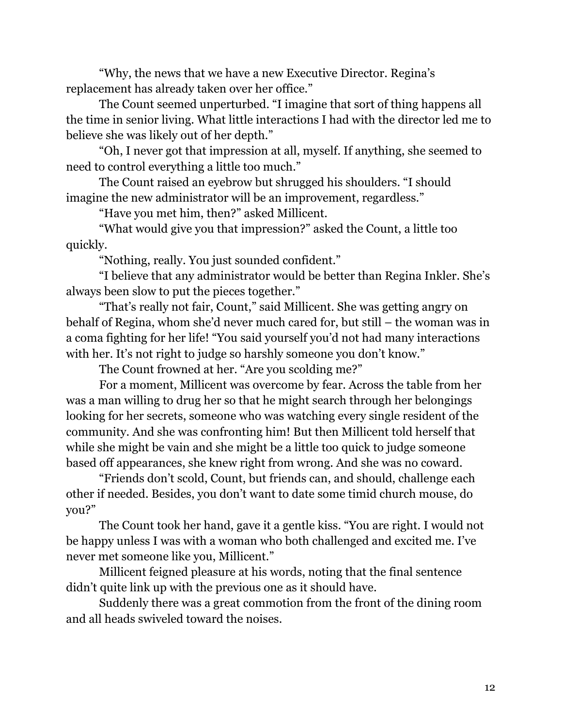"Why, the news that we have a new Executive Director. Regina's replacement has already taken over her office."

The Count seemed unperturbed. "I imagine that sort of thing happens all the time in senior living. What little interactions I had with the director led me to believe she was likely out of her depth."

"Oh, I never got that impression at all, myself. If anything, she seemed to need to control everything a little too much."

The Count raised an eyebrow but shrugged his shoulders. "I should imagine the new administrator will be an improvement, regardless."

"Have you met him, then?" asked Millicent.

"What would give you that impression?" asked the Count, a little too quickly.

"Nothing, really. You just sounded confident."

"I believe that any administrator would be better than Regina Inkler. She's always been slow to put the pieces together."

"That's really not fair, Count," said Millicent. She was getting angry on behalf of Regina, whom she'd never much cared for, but still – the woman was in a coma fighting for her life! "You said yourself you'd not had many interactions with her. It's not right to judge so harshly someone you don't know."

The Count frowned at her. "Are you scolding me?"

For a moment, Millicent was overcome by fear. Across the table from her was a man willing to drug her so that he might search through her belongings looking for her secrets, someone who was watching every single resident of the community. And she was confronting him! But then Millicent told herself that while she might be vain and she might be a little too quick to judge someone based off appearances, she knew right from wrong. And she was no coward.

"Friends don't scold, Count, but friends can, and should, challenge each other if needed. Besides, you don't want to date some timid church mouse, do you?"

The Count took her hand, gave it a gentle kiss. "You are right. I would not be happy unless I was with a woman who both challenged and excited me. I've never met someone like you, Millicent."

Millicent feigned pleasure at his words, noting that the final sentence didn't quite link up with the previous one as it should have.

Suddenly there was a great commotion from the front of the dining room and all heads swiveled toward the noises.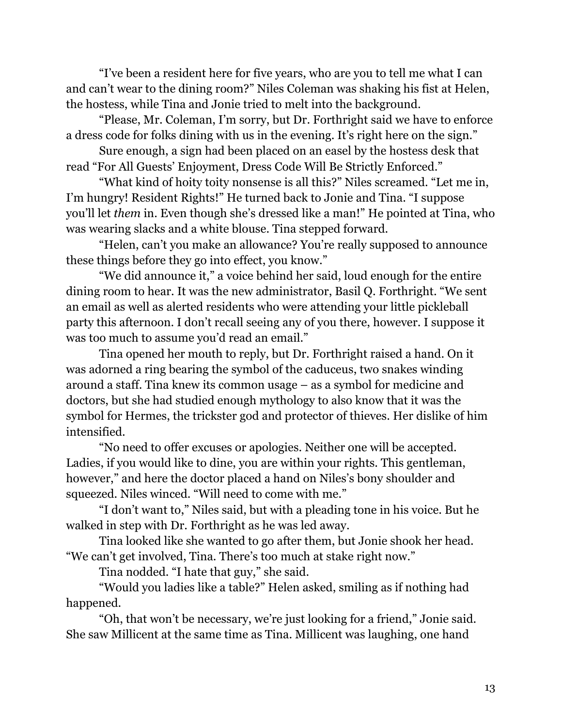"I've been a resident here for five years, who are you to tell me what I can and can't wear to the dining room?" Niles Coleman was shaking his fist at Helen, the hostess, while Tina and Jonie tried to melt into the background.

"Please, Mr. Coleman, I'm sorry, but Dr. Forthright said we have to enforce a dress code for folks dining with us in the evening. It's right here on the sign."

Sure enough, a sign had been placed on an easel by the hostess desk that read "For All Guests' Enjoyment, Dress Code Will Be Strictly Enforced."

"What kind of hoity toity nonsense is all this?" Niles screamed. "Let me in, I'm hungry! Resident Rights!" He turned back to Jonie and Tina. "I suppose you'll let *them* in. Even though she's dressed like a man!" He pointed at Tina, who was wearing slacks and a white blouse. Tina stepped forward.

"Helen, can't you make an allowance? You're really supposed to announce these things before they go into effect, you know."

"We did announce it," a voice behind her said, loud enough for the entire dining room to hear. It was the new administrator, Basil Q. Forthright. "We sent an email as well as alerted residents who were attending your little pickleball party this afternoon. I don't recall seeing any of you there, however. I suppose it was too much to assume you'd read an email."

Tina opened her mouth to reply, but Dr. Forthright raised a hand. On it was adorned a ring bearing the symbol of the caduceus, two snakes winding around a staff. Tina knew its common usage – as a symbol for medicine and doctors, but she had studied enough mythology to also know that it was the symbol for Hermes, the trickster god and protector of thieves. Her dislike of him intensified.

"No need to offer excuses or apologies. Neither one will be accepted. Ladies, if you would like to dine, you are within your rights. This gentleman, however," and here the doctor placed a hand on Niles's bony shoulder and squeezed. Niles winced. "Will need to come with me."

"I don't want to," Niles said, but with a pleading tone in his voice. But he walked in step with Dr. Forthright as he was led away.

Tina looked like she wanted to go after them, but Jonie shook her head. "We can't get involved, Tina. There's too much at stake right now."

Tina nodded. "I hate that guy," she said.

"Would you ladies like a table?" Helen asked, smiling as if nothing had happened.

"Oh, that won't be necessary, we're just looking for a friend," Jonie said. She saw Millicent at the same time as Tina. Millicent was laughing, one hand